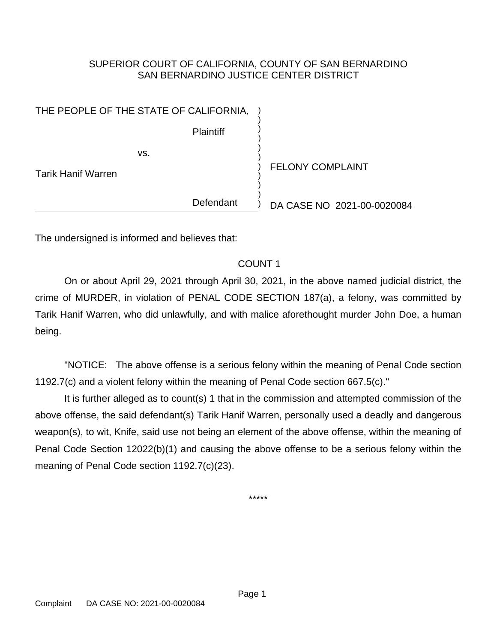## SUPERIOR COURT OF CALIFORNIA, COUNTY OF SAN BERNARDINO SAN BERNARDINO JUSTICE CENTER DISTRICT

) ) ) ) ) ) ) ) ) ) )

**Plaintiff** 

vs.

Tarik Hanif Warren

FELONY COMPLAINT

Defendant

DA CASE NO 2021-00-0020084

The undersigned is informed and believes that:

## COUNT 1

On or about April 29, 2021 through April 30, 2021, in the above named judicial district, the crime of MURDER, in violation of PENAL CODE SECTION 187(a), a felony, was committed by Tarik Hanif Warren, who did unlawfully, and with malice aforethought murder John Doe, a human being.

"NOTICE: The above offense is a serious felony within the meaning of Penal Code section 1192.7(c) and a violent felony within the meaning of Penal Code section 667.5(c)."

It is further alleged as to count(s) 1 that in the commission and attempted commission of the above offense, the said defendant(s) Tarik Hanif Warren, personally used a deadly and dangerous weapon(s), to wit, Knife, said use not being an element of the above offense, within the meaning of Penal Code Section 12022(b)(1) and causing the above offense to be a serious felony within the meaning of Penal Code section 1192.7(c)(23).

\*\*\*\*\*